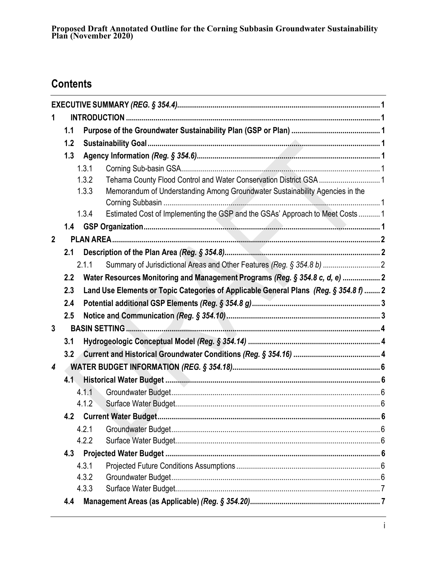## **Contents**

| 1                       |                                                                                              |       |                                                                                |  |  |  |  |  |
|-------------------------|----------------------------------------------------------------------------------------------|-------|--------------------------------------------------------------------------------|--|--|--|--|--|
|                         | 1.1                                                                                          |       |                                                                                |  |  |  |  |  |
|                         | 1.2                                                                                          |       |                                                                                |  |  |  |  |  |
|                         | 1.3                                                                                          |       |                                                                                |  |  |  |  |  |
|                         |                                                                                              | 1.3.1 |                                                                                |  |  |  |  |  |
|                         |                                                                                              | 1.3.2 | Tehama County Flood Control and Water Conservation District GSA  1             |  |  |  |  |  |
|                         |                                                                                              | 1.3.3 | Memorandum of Understanding Among Groundwater Sustainability Agencies in the   |  |  |  |  |  |
|                         |                                                                                              | 1.3.4 | Estimated Cost of Implementing the GSP and the GSAs' Approach to Meet Costs  1 |  |  |  |  |  |
|                         | 1.4                                                                                          |       |                                                                                |  |  |  |  |  |
| $\overline{2}$          |                                                                                              |       |                                                                                |  |  |  |  |  |
|                         | 2.1                                                                                          |       |                                                                                |  |  |  |  |  |
|                         |                                                                                              | 2.1.1 |                                                                                |  |  |  |  |  |
|                         | 2.2                                                                                          |       | Water Resources Monitoring and Management Programs (Reg. § 354.8 c, d, e)  2   |  |  |  |  |  |
|                         | Land Use Elements or Topic Categories of Applicable General Plans (Reg. § 354.8 f)  2<br>2.3 |       |                                                                                |  |  |  |  |  |
|                         | 2.4                                                                                          |       |                                                                                |  |  |  |  |  |
|                         | 2.5                                                                                          |       |                                                                                |  |  |  |  |  |
| $\overline{3}$          |                                                                                              |       |                                                                                |  |  |  |  |  |
|                         | 3.1                                                                                          |       |                                                                                |  |  |  |  |  |
|                         | 3.2                                                                                          |       |                                                                                |  |  |  |  |  |
| $\overline{\mathbf{4}}$ |                                                                                              |       |                                                                                |  |  |  |  |  |
|                         | 4.1                                                                                          |       |                                                                                |  |  |  |  |  |
|                         |                                                                                              | 4.1.1 |                                                                                |  |  |  |  |  |
|                         |                                                                                              | 4.1.2 |                                                                                |  |  |  |  |  |
|                         |                                                                                              |       | 4.2 Current Water Budget.<br>6                                                 |  |  |  |  |  |
|                         |                                                                                              | 4.2.1 |                                                                                |  |  |  |  |  |
|                         |                                                                                              | 4.2.2 |                                                                                |  |  |  |  |  |
| 4.3                     |                                                                                              |       |                                                                                |  |  |  |  |  |
|                         |                                                                                              | 4.3.1 |                                                                                |  |  |  |  |  |
|                         |                                                                                              | 4.3.2 |                                                                                |  |  |  |  |  |
|                         |                                                                                              | 4.3.3 |                                                                                |  |  |  |  |  |
|                         | 4.4                                                                                          |       |                                                                                |  |  |  |  |  |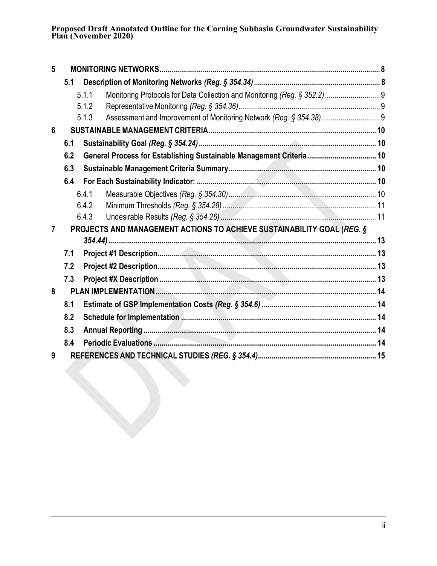**Proposed Draft Annotated Outline for the Corning Subbasin Groundwater Sustainability Plan (November 2020)**

| 5              |     |                                                                        |                                                                           |  |  |  |  |
|----------------|-----|------------------------------------------------------------------------|---------------------------------------------------------------------------|--|--|--|--|
|                | 5.1 |                                                                        |                                                                           |  |  |  |  |
|                |     | 5.1.1                                                                  | Monitoring Protocols for Data Collection and Monitoring (Reg. § 352.2)  9 |  |  |  |  |
|                |     | 5.1.2                                                                  |                                                                           |  |  |  |  |
|                |     | 5.1.3                                                                  |                                                                           |  |  |  |  |
| $6\phantom{1}$ |     |                                                                        |                                                                           |  |  |  |  |
|                | 6.1 |                                                                        |                                                                           |  |  |  |  |
|                | 6.2 |                                                                        | General Process for Establishing Sustainable Management Criteria 10       |  |  |  |  |
|                | 6.3 |                                                                        |                                                                           |  |  |  |  |
|                | 6.4 |                                                                        |                                                                           |  |  |  |  |
|                |     | 6.4.1                                                                  |                                                                           |  |  |  |  |
|                |     | 6.4.2                                                                  |                                                                           |  |  |  |  |
|                |     | 6.4.3                                                                  |                                                                           |  |  |  |  |
| 7              |     | PROJECTS AND MANAGEMENT ACTIONS TO ACHIEVE SUSTAINABILITY GOAL (REG. § |                                                                           |  |  |  |  |
|                |     |                                                                        |                                                                           |  |  |  |  |
|                | 7.1 |                                                                        |                                                                           |  |  |  |  |
|                | 7.2 |                                                                        |                                                                           |  |  |  |  |
|                | 7.3 |                                                                        |                                                                           |  |  |  |  |
| 8              |     |                                                                        |                                                                           |  |  |  |  |
|                | 8.1 |                                                                        |                                                                           |  |  |  |  |
|                | 8.2 |                                                                        |                                                                           |  |  |  |  |
|                | 8.3 |                                                                        |                                                                           |  |  |  |  |
|                | 8.4 |                                                                        |                                                                           |  |  |  |  |
| 9              |     |                                                                        |                                                                           |  |  |  |  |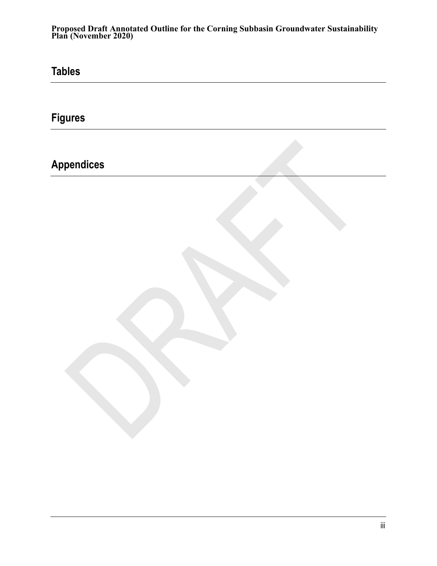**Proposed Draft Annotated Outline for the Corning Subbasin Groundwater Sustainability Plan (November 2020)**

**Tables**

**Figures**

**Appendices**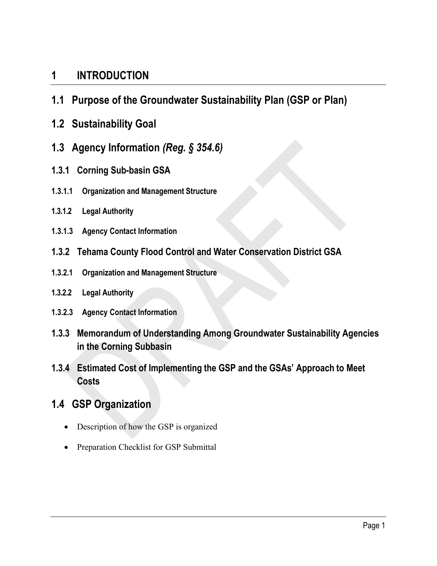### <span id="page-4-0"></span>**1 INTRODUCTION**

- <span id="page-4-1"></span>**1.1 Purpose of the Groundwater Sustainability Plan (GSP or Plan)**
- <span id="page-4-2"></span>**1.2 Sustainability Goal**
- <span id="page-4-3"></span>**1.3 Agency Information** *(Reg. § 354.6)*
- <span id="page-4-4"></span>**1.3.1 Corning Sub-basin GSA**
- **1.3.1.1 Organization and Management Structure**
- **1.3.1.2 Legal Authority**
- **1.3.1.3 Agency Contact Information**
- <span id="page-4-5"></span>**1.3.2 Tehama County Flood Control and Water Conservation District GSA**
- **1.3.2.1 Organization and Management Structure**
- **1.3.2.2 Legal Authority**
- **1.3.2.3 Agency Contact Information**
- <span id="page-4-6"></span>**1.3.3 Memorandum of Understanding Among Groundwater Sustainability Agencies in the Corning Subbasin**
- <span id="page-4-7"></span>**1.3.4 Estimated Cost of Implementing the GSP and the GSAs' Approach to Meet Costs**
- <span id="page-4-8"></span>**1.4 GSP Organization**
	- Description of how the GSP is organized
	- Preparation Checklist for GSP Submittal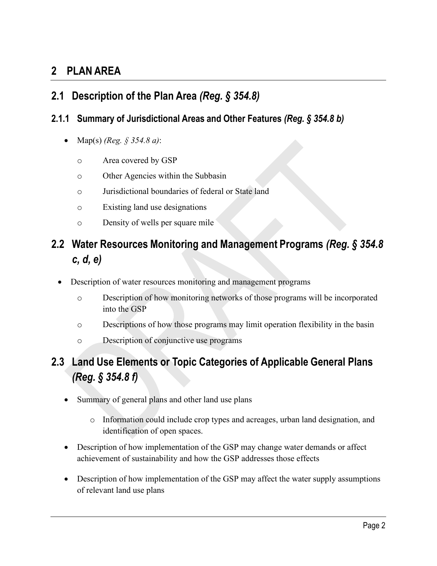## <span id="page-5-0"></span>**2 PLAN AREA**

### <span id="page-5-1"></span>**2.1 Description of the Plan Area** *(Reg. § 354.8)*

#### <span id="page-5-2"></span>**2.1.1 Summary of Jurisdictional Areas and Other Features** *(Reg. § 354.8 b)*

- Map(s) *(Reg. § 354.8 a)*:
	- o Area covered by GSP
	- o Other Agencies within the Subbasin
	- o Jurisdictional boundaries of federal or State land
	- o Existing land use designations
	- o Density of wells per square mile

## <span id="page-5-3"></span>**2.2 Water Resources Monitoring and Management Programs** *(Reg. § 354.8 c, d, e)*

- Description of water resources monitoring and management programs
	- o Description of how monitoring networks of those programs will be incorporated into the GSP
	- o Descriptions of how those programs may limit operation flexibility in the basin
	- o Description of conjunctive use programs

## <span id="page-5-4"></span>**2.3 Land Use Elements or Topic Categories of Applicable General Plans** *(Reg. § 354.8 f)*

- Summary of general plans and other land use plans
	- o Information could include crop types and acreages, urban land designation, and identification of open spaces.
- Description of how implementation of the GSP may change water demands or affect achievement of sustainability and how the GSP addresses those effects
- Description of how implementation of the GSP may affect the water supply assumptions of relevant land use plans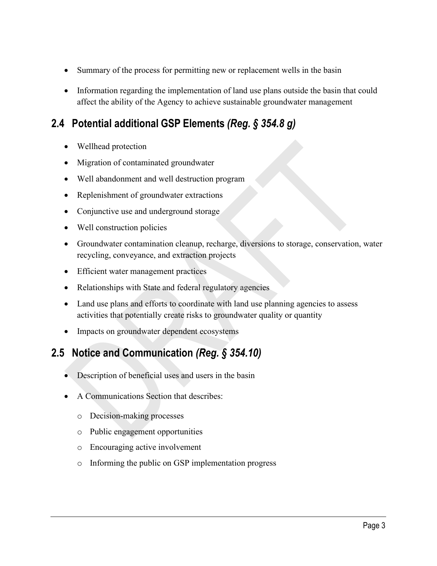- Summary of the process for permitting new or replacement wells in the basin
- Information regarding the implementation of land use plans outside the basin that could affect the ability of the Agency to achieve sustainable groundwater management

## <span id="page-6-0"></span>**2.4 Potential additional GSP Elements** *(Reg. § 354.8 g)*

- Wellhead protection
- Migration of contaminated groundwater
- Well abandonment and well destruction program
- Replenishment of groundwater extractions
- Conjunctive use and underground storage
- Well construction policies
- Groundwater contamination cleanup, recharge, diversions to storage, conservation, water recycling, conveyance, and extraction projects
- Efficient water management practices
- Relationships with State and federal regulatory agencies
- Land use plans and efforts to coordinate with land use planning agencies to assess activities that potentially create risks to groundwater quality or quantity
- Impacts on groundwater dependent ecosystems

## <span id="page-6-1"></span>**2.5 Notice and Communication** *(Reg. § 354.10)*

- Description of beneficial uses and users in the basin
- A Communications Section that describes:
	- o Decision-making processes
	- o Public engagement opportunities
	- o Encouraging active involvement
	- o Informing the public on GSP implementation progress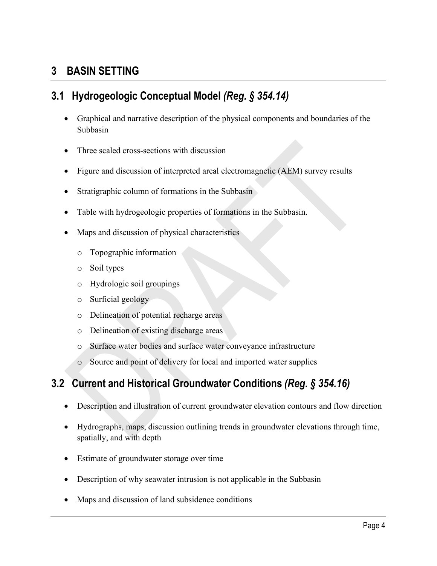## <span id="page-7-0"></span>**3 BASIN SETTING**

## <span id="page-7-1"></span>**3.1 Hydrogeologic Conceptual Model** *(Reg. § 354.14)*

- Graphical and narrative description of the physical components and boundaries of the Subbasin
- Three scaled cross-sections with discussion
- Figure and discussion of interpreted areal electromagnetic (AEM) survey results
- Stratigraphic column of formations in the Subbasin
- Table with hydrogeologic properties of formations in the Subbasin.
- Maps and discussion of physical characteristics
	- o Topographic information
	- o Soil types
	- o Hydrologic soil groupings
	- o Surficial geology
	- o Delineation of potential recharge areas
	- o Delineation of existing discharge areas
	- o Surface water bodies and surface water conveyance infrastructure
	- o Source and point of delivery for local and imported water supplies

## <span id="page-7-2"></span>**3.2 Current and Historical Groundwater Conditions** *(Reg. § 354.16)*

- Description and illustration of current groundwater elevation contours and flow direction
- Hydrographs, maps, discussion outlining trends in groundwater elevations through time, spatially, and with depth
- Estimate of groundwater storage over time
- Description of why seawater intrusion is not applicable in the Subbasin
- Maps and discussion of land subsidence conditions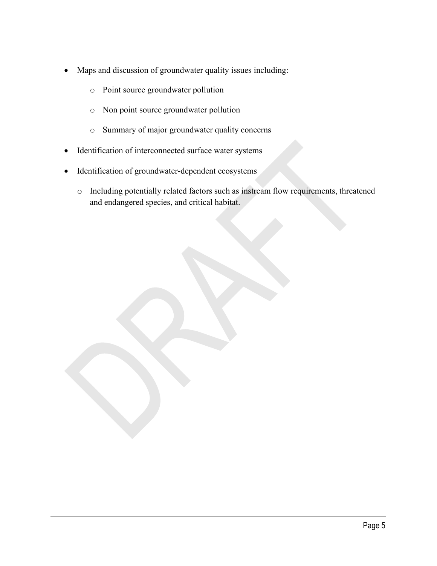- Maps and discussion of groundwater quality issues including:
	- o Point source groundwater pollution
	- o Non point source groundwater pollution
	- o Summary of major groundwater quality concerns
- Identification of interconnected surface water systems
- Identification of groundwater-dependent ecosystems
	- o Including potentially related factors such as instream flow requirements, threatened and endangered species, and critical habitat.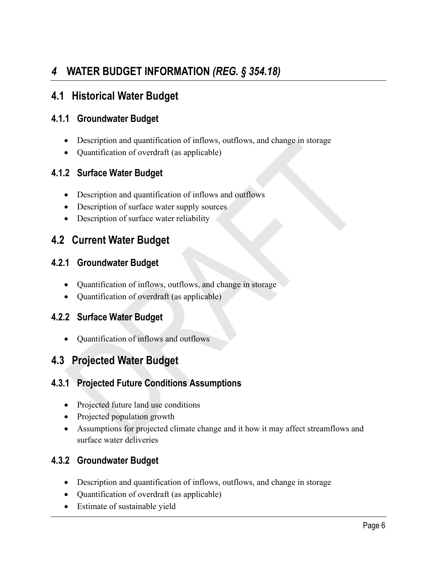## <span id="page-9-0"></span>*4* **WATER BUDGET INFORMATION** *(REG. § 354.18)*

### <span id="page-9-1"></span>**4.1 Historical Water Budget**

#### <span id="page-9-2"></span>**4.1.1 Groundwater Budget**

- Description and quantification of inflows, outflows, and change in storage
- Quantification of overdraft (as applicable)

#### <span id="page-9-3"></span>**4.1.2 Surface Water Budget**

- Description and quantification of inflows and outflows
- Description of surface water supply sources
- Description of surface water reliability

### <span id="page-9-4"></span>**4.2 Current Water Budget**

#### <span id="page-9-5"></span>**4.2.1 Groundwater Budget**

- Quantification of inflows, outflows, and change in storage
- Quantification of overdraft (as applicable)

#### <span id="page-9-6"></span>**4.2.2 Surface Water Budget**

• Quantification of inflows and outflows

### <span id="page-9-7"></span>**4.3 Projected Water Budget**

#### <span id="page-9-8"></span>**4.3.1 Projected Future Conditions Assumptions**

- Projected future land use conditions
- Projected population growth
- Assumptions for projected climate change and it how it may affect streamflows and surface water deliveries

#### <span id="page-9-9"></span>**4.3.2 Groundwater Budget**

- Description and quantification of inflows, outflows, and change in storage
- Quantification of overdraft (as applicable)
- Estimate of sustainable yield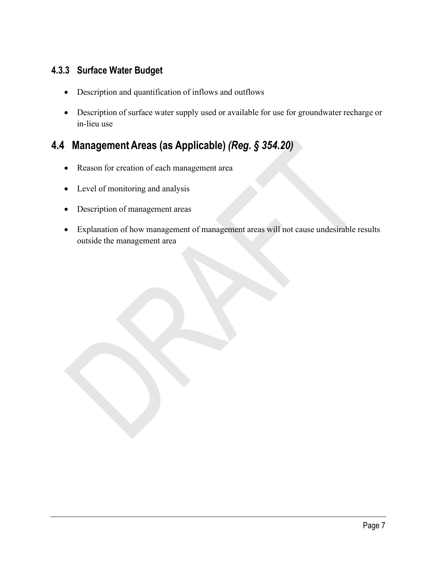#### <span id="page-10-0"></span>**4.3.3 Surface Water Budget**

- Description and quantification of inflows and outflows
- Description of surface water supply used or available for use for groundwater recharge or in-lieu use

## <span id="page-10-1"></span>**4.4 Management Areas (as Applicable)** *(Reg. § 354.20)*

- Reason for creation of each management area
- Level of monitoring and analysis
- Description of management areas
- Explanation of how management of management areas will not cause undesirable results outside the management area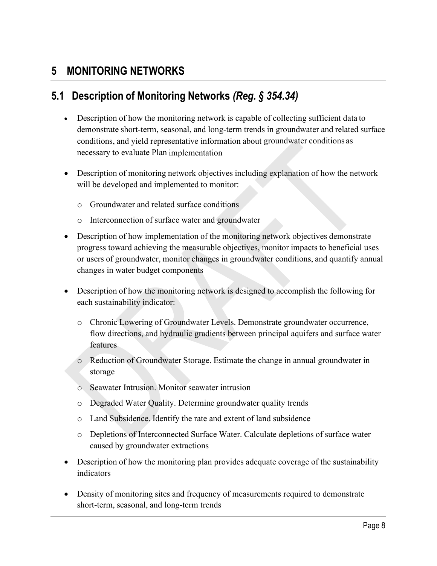## <span id="page-11-0"></span>**5 MONITORING NETWORKS**

### <span id="page-11-1"></span>**5.1 Description of Monitoring Networks** *(Reg. § 354.34)*

- Description of how the monitoring network is capable of collecting sufficient data to demonstrate short-term, seasonal, and long-term trends in groundwater and related surface conditions, and yield representative information about groundwater conditions as necessary to evaluate Plan implementation
- Description of monitoring network objectives including explanation of how the network will be developed and implemented to monitor:
	- o Groundwater and related surface conditions
	- o Interconnection of surface water and groundwater
- Description of how implementation of the monitoring network objectives demonstrate progress toward achieving the measurable objectives, monitor impacts to beneficial uses or users of groundwater, monitor changes in groundwater conditions, and quantify annual changes in water budget components
- Description of how the monitoring network is designed to accomplish the following for each sustainability indicator:
	- o Chronic Lowering of Groundwater Levels. Demonstrate groundwater occurrence, flow directions, and hydraulic gradients between principal aquifers and surface water features
	- o Reduction of Groundwater Storage. Estimate the change in annual groundwater in storage
	- o Seawater Intrusion. Monitor seawater intrusion
	- o Degraded Water Quality. Determine groundwater quality trends
	- o Land Subsidence. Identify the rate and extent of land subsidence
	- o Depletions of Interconnected Surface Water. Calculate depletions of surface water caused by groundwater extractions
- Description of how the monitoring plan provides adequate coverage of the sustainability indicators
- Density of monitoring sites and frequency of measurements required to demonstrate short-term, seasonal, and long-term trends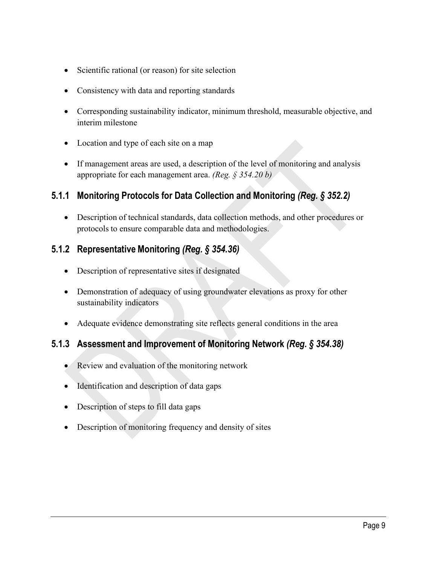- Scientific rational (or reason) for site selection
- Consistency with data and reporting standards
- Corresponding sustainability indicator, minimum threshold, measurable objective, and interim milestone
- Location and type of each site on a map
- If management areas are used, a description of the level of monitoring and analysis appropriate for each management area. *(Reg. § 354.20 b)*

#### <span id="page-12-0"></span>**5.1.1 Monitoring Protocols for Data Collection and Monitoring** *(Reg. § 352.2)*

• Description of technical standards, data collection methods, and other procedures or protocols to ensure comparable data and methodologies.

#### <span id="page-12-1"></span>**5.1.2 Representative Monitoring** *(Reg. § 354.36)*

- Description of representative sites if designated
- Demonstration of adequacy of using groundwater elevations as proxy for other sustainability indicators
- Adequate evidence demonstrating site reflects general conditions in the area

#### <span id="page-12-2"></span>**5.1.3 Assessment and Improvement of Monitoring Network** *(Reg. § 354.38)*

- Review and evaluation of the monitoring network
- Identification and description of data gaps
- Description of steps to fill data gaps
- Description of monitoring frequency and density of sites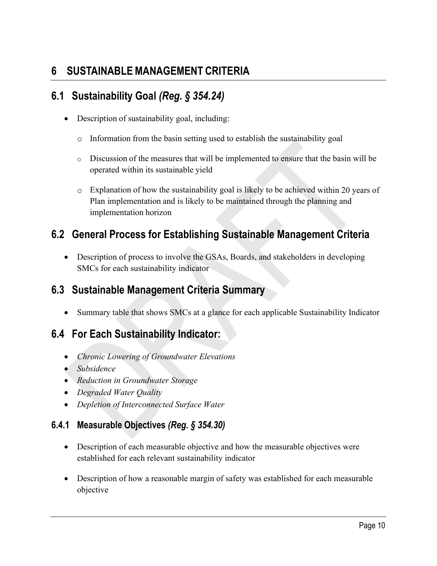## <span id="page-13-0"></span>**6 SUSTAINABLE MANAGEMENT CRITERIA**

## <span id="page-13-1"></span>**6.1 Sustainability Goal** *(Reg. § 354.24)*

- Description of sustainability goal, including:
	- o Information from the basin setting used to establish the sustainability goal
	- o Discussion of the measures that will be implemented to ensure that the basin will be operated within its sustainable yield
	- o Explanation of how the sustainability goal is likely to be achieved within 20 years of Plan implementation and is likely to be maintained through the planning and implementation horizon

## <span id="page-13-2"></span>**6.2 General Process for Establishing Sustainable Management Criteria**

• Description of process to involve the GSAs, Boards, and stakeholders in developing SMCs for each sustainability indicator

### <span id="page-13-3"></span>**6.3 Sustainable Management Criteria Summary**

• Summary table that shows SMCs at a glance for each applicable Sustainability Indicator

## <span id="page-13-4"></span>**6.4 For Each Sustainability Indicator:**

- *Chronic Lowering of Groundwater Elevations*
- *Subsidence*
- *Reduction in Groundwater Storage*
- *Degraded Water Quality*
- *Depletion of Interconnected Surface Water*

#### <span id="page-13-5"></span>**6.4.1 Measurable Objectives** *(Reg. § 354.30)*

- Description of each measurable objective and how the measurable objectives were established for each relevant sustainability indicator
- Description of how a reasonable margin of safety was established for each measurable objective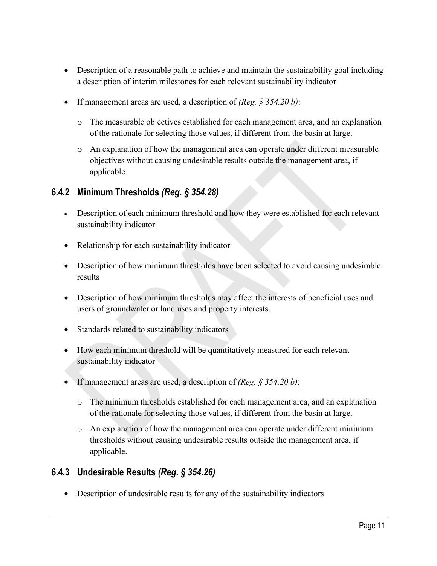- Description of a reasonable path to achieve and maintain the sustainability goal including a description of interim milestones for each relevant sustainability indicator
- If management areas are used, a description of *(Reg. § 354.20 b)*:
	- o The measurable objectives established for each management area, and an explanation of the rationale for selecting those values, if different from the basin at large.
	- o An explanation of how the management area can operate under different measurable objectives without causing undesirable results outside the management area, if applicable.

#### <span id="page-14-0"></span>**6.4.2 Minimum Thresholds** *(Reg. § 354.28)*

- Description of each minimum threshold and how they were established for each relevant sustainability indicator
- Relationship for each sustainability indicator
- Description of how minimum thresholds have been selected to avoid causing undesirable results
- Description of how minimum thresholds may affect the interests of beneficial uses and users of groundwater or land uses and property interests.
- Standards related to sustainability indicators
- How each minimum threshold will be quantitatively measured for each relevant sustainability indicator
- If management areas are used, a description of *(Reg. § 354.20 b)*:
	- o The minimum thresholds established for each management area, and an explanation of the rationale for selecting those values, if different from the basin at large.
	- o An explanation of how the management area can operate under different minimum thresholds without causing undesirable results outside the management area, if applicable.

#### <span id="page-14-1"></span>**6.4.3 Undesirable Results** *(Reg. § 354.26)*

• Description of undesirable results for any of the sustainability indicators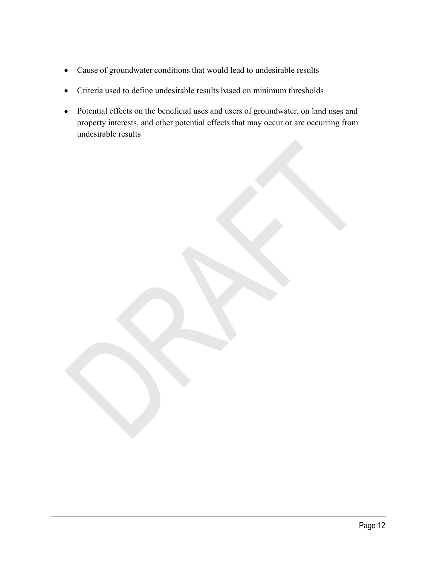- Cause of groundwater conditions that would lead to undesirable results
- Criteria used to define undesirable results based on minimum thresholds
- Potential effects on the beneficial uses and users of groundwater, on land uses and property interests, and other potential effects that may occur or are occurring from undesirable results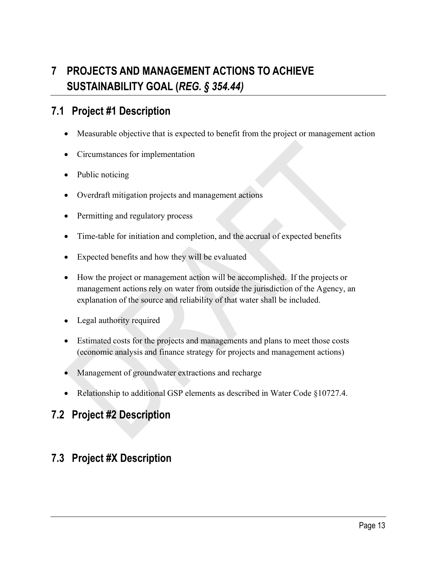# <span id="page-16-0"></span>**7 PROJECTS AND MANAGEMENT ACTIONS TO ACHIEVE SUSTAINABILITY GOAL (***REG. § 354.44)*

### <span id="page-16-1"></span>**7.1 Project #1 Description**

- Measurable objective that is expected to benefit from the project or management action
- Circumstances for implementation
- Public noticing
- Overdraft mitigation projects and management actions
- Permitting and regulatory process
- Time-table for initiation and completion, and the accrual of expected benefits
- Expected benefits and how they will be evaluated
- How the project or management action will be accomplished. If the projects or management actions rely on water from outside the jurisdiction of the Agency, an explanation of the source and reliability of that water shall be included.
- Legal authority required
- Estimated costs for the projects and managements and plans to meet those costs (economic analysis and finance strategy for projects and management actions)
- Management of groundwater extractions and recharge
- Relationship to additional GSP elements as described in Water Code §10727.4.

#### <span id="page-16-2"></span>**7.2 Project #2 Description**

### <span id="page-16-3"></span>**7.3 Project #X Description**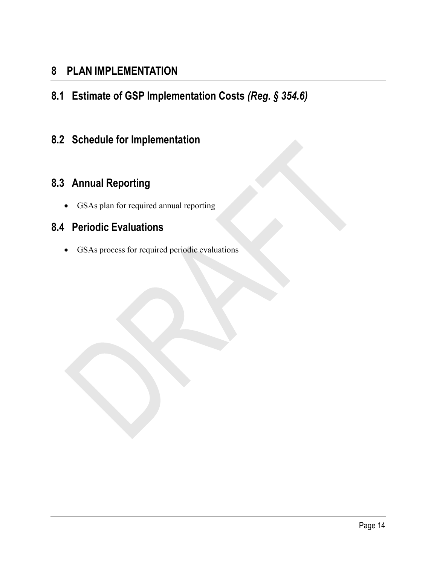### <span id="page-17-0"></span>**8 PLAN IMPLEMENTATION**

<span id="page-17-1"></span>**8.1 Estimate of GSP Implementation Costs** *(Reg. § 354.6)*

## <span id="page-17-2"></span>**8.2 Schedule for Implementation**

## <span id="page-17-3"></span>**8.3 Annual Reporting**

• GSAs plan for required annual reporting

### <span id="page-17-4"></span>**8.4 Periodic Evaluations**

• GSAs process for required periodic evaluations